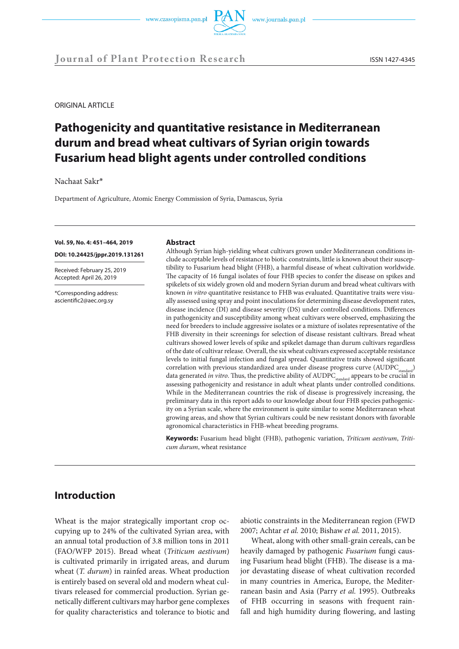



ORIGINAL ARTICLE

# **Pathogenicity and quantitative resistance in Mediterranean durum and bread wheat cultivars of Syrian origin towards Fusarium head blight agents under controlled conditions**

Nachaat Sakr\*

Department of Agriculture, Atomic Energy Commission of Syria, Damascus, Syria

#### **Vol. 59, No. 4: 451–464, 2019**

**DOI: 10.24425/jppr.2019.131261**

Received: February 25, 2019 Accepted: April 26, 2019

\*Corresponding address: ascientific2@aec.org.sy

#### **Abstract**

Although Syrian high-yielding wheat cultivars grown under Mediterranean conditions include acceptable levels of resistance to biotic constraints, little is known about their susceptibility to Fusarium head blight (FHB), a harmful disease of wheat cultivation worldwide. The capacity of 16 fungal isolates of four FHB species to confer the disease on spikes and spikelets of six widely grown old and modern Syrian durum and bread wheat cultivars with known *in vitro* quantitative resistance to FHB was evaluated. Quantitative traits were visually assessed using spray and point inoculations for determining disease development rates, disease incidence (DI) and disease severity (DS) under controlled conditions. Differences in pathogenicity and susceptibility among wheat cultivars were observed, emphasizing the need for breeders to include aggressive isolates or a mixture of isolates representative of the FHB diversity in their screenings for selection of disease resistant cultivars. Bread wheat cultivars showed lower levels of spike and spikelet damage than durum cultivars regardless of the date of cultivar release. Overall, the six wheat cultivars expressed acceptable resistance levels to initial fungal infection and fungal spread. Quantitative traits showed significant correlation with previous standardized area under disease progress curve (AUDPC<sub>standard</sub>) data generated *in vitro*. Thus, the predictive ability of AUDPC<sub>standard</sub> appears to be crucial in assessing pathogenicity and resistance in adult wheat plants under controlled conditions. While in the Mediterranean countries the risk of disease is progressively increasing, the preliminary data in this report adds to our knowledge about four FHB species pathogenicity on a Syrian scale, where the environment is quite similar to some Mediterranean wheat growing areas, and show that Syrian cultivars could be new resistant donors with favorable agronomical characteristics in FHB-wheat breeding programs.

**Keywords:** Fusarium head blight (FHB), pathogenic variation, *Triticum aestivum*, *Triticum durum*, wheat resistance

# **Introduction**

Wheat is the major strategically important crop occupying up to 24% of the cultivated Syrian area, with an annual total production of 3.8 million tons in 2011 (FAO/WFP 2015). Bread wheat (*Triticum aestivum*) is cultivated primarily in irrigated areas, and durum wheat (*T. durum*) in rainfed areas. Wheat production is entirely based on several old and modern wheat cultivars released for commercial production. Syrian genetically different cultivars may harbor gene complexes for quality characteristics and tolerance to biotic and abiotic constraints in the Mediterranean region (FWD 2007; Achtar *et al.* 2010; Bishaw *et al.* 2011, 2015).

Wheat, along with other small-grain cereals, can be heavily damaged by pathogenic *Fusarium* fungi causing Fusarium head blight (FHB). The disease is a major devastating disease of wheat cultivation recorded in many countries in America, Europe, the Mediterranean basin and Asia (Parry *et al.* 1995). Outbreaks of FHB occurring in seasons with frequent rainfall and high humidity during flowering, and lasting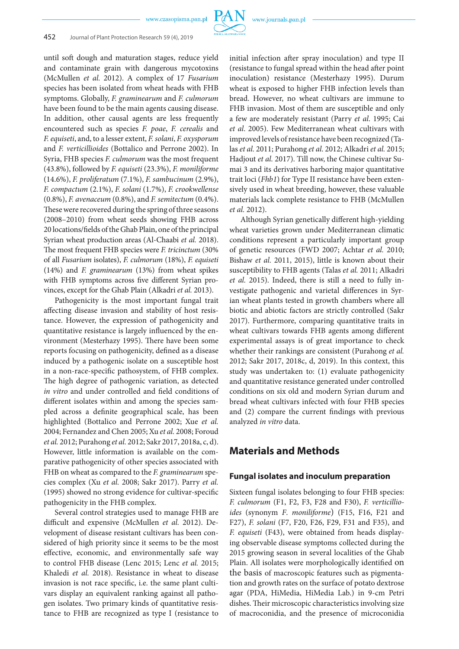

## 452 Journal of Plant Protection Research 59 (4), 2019

until soft dough and maturation stages, reduce yield and contaminate grain with dangerous mycotoxins (McMullen *et al.* 2012). A complex of 17 *Fusarium*  species has been isolated from wheat heads with FHB symptoms. Globally, *F. graminearum* and *F. culmorum*  have been found to be the main agents causing disease. In addition, other causal agents are less frequently encountered such as species *F. poae*, *F. cerealis* and *F. equiseti*, and, to a lesser extent, *F. solani*, *F. oxysporum* and *F. verticillioides* (Bottalico and Perrone 2002). In Syria, FHB species *F. culmorum* was the most frequent (43.8%), followed by *F. equiseti* (23.3%), *F. moniliforme*  (14.6%), *F. proliferatum* (7.1%), *F. sambucinum* (2.9%), *F. compactum* (2.1%), *F. solani* (1.7%), *F. crookwellense*  (0.8%), *F. avenaceum* (0.8%), and *F. semitectum* (0.4%). These were recovered during the spring of three seasons (2008–2010) from wheat seeds showing FHB across 20 locations/fields of the Ghab Plain, one of the principal Syrian wheat production areas (Al-Chaabi *et al.* 2018). The most frequent FHB species were *F. tricinctum* (30% of all *Fusarium* isolates), *F. culmorum* (18%), *F. equiseti* (14%) and *F. graminearum* (13%) from wheat spikes with FHB symptoms across five different Syrian provinces, except for the Ghab Plain (Alkadri *et al.* 2013).

Pathogenicity is the most important fungal trait affecting disease invasion and stability of host resistance. However, the expression of pathogenicity and quantitative resistance is largely influenced by the environment (Mesterhazy 1995). There have been some reports focusing on pathogenicity, defined as a disease induced by a pathogenic isolate on a susceptible host in a non-race-specific pathosystem, of FHB complex. The high degree of pathogenic variation, as detected *in vitro* and under controlled and field conditions of different isolates within and among the species sampled across a definite geographical scale, has been highlighted (Bottalico and Perrone 2002; Xue *et al.* 2004; Fernandez and Chen 2005; Xu *et al.* 2008; Foroud *et al.* 2012; Purahong *et al.* 2012; Sakr 2017, 2018a, c, d). However, little information is available on the comparative pathogenicity of other species associated with FHB on wheat as compared to the *F. graminearum* species complex (Xu *et al.* 2008; Sakr 2017). Parry *et al.* (1995) showed no strong evidence for cultivar-specific pathogenicity in the FHB complex.

Several control strategies used to manage FHB are difficult and expensive (McMullen *et al.* 2012). Development of disease resistant cultivars has been considered of high priority since it seems to be the most effective, economic, and environmentally safe way to control FHB disease (Lenc 2015; Lenc *et al.* 2015; Khaledi *et al.* 2018). Resistance in wheat to disease invasion is not race specific, i.e. the same plant cultivars display an equivalent ranking against all pathogen isolates. Two primary kinds of quantitative resistance to FHB are recognized as type I (resistance to initial infection after spray inoculation) and type II (resistance to fungal spread within the head after point inoculation) resistance (Mesterhazy 1995). Durum wheat is exposed to higher FHB infection levels than bread. However, no wheat cultivars are immune to FHB invasion. Most of them are susceptible and only a few are moderately resistant (Parry *et al*. 1995; Cai *et al*. 2005). Few Mediterranean wheat cultivars with improved levels of resistance have been recognized (Talas *et al.* 2011; Purahong *et al*. 2012; Alkadri *et al.* 2015; Hadjout *et al.* 2017). Till now, the Chinese cultivar Sumai 3 and its derivatives harboring major quantitative trait loci (*Fhb1*) for Type II resistance have been extensively used in wheat breeding, however, these valuable materials lack complete resistance to FHB (McMullen *et al.* 2012).

Although Syrian genetically different high-yielding wheat varieties grown under Mediterranean climatic conditions represent a particularly important group of genetic resources (FWD 2007; Achtar *et al.* 2010; Bishaw *et al.* 2011, 2015), little is known about their susceptibility to FHB agents (Talas *et al.* 2011; Alkadri *et al.* 2015). Indeed, there is still a need to fully investigate pathogenic and varietal differences in Syrian wheat plants tested in growth chambers where all biotic and abiotic factors are strictly controlled (Sakr 2017). Furthermore, comparing quantitative traits in wheat cultivars towards FHB agents among different experimental assays is of great importance to check whether their rankings are consistent (Purahong *et al.* 2012; Sakr 2017, 2018c, d, 2019). In this context, this study was undertaken to: (1) evaluate pathogenicity and quantitative resistance generated under controlled conditions on six old and modern Syrian durum and bread wheat cultivars infected with four FHB species and (2) compare the current findings with previous analyzed *in vitro* data.

# **Materials and Methods**

### **Fungal isolates and inoculum preparation**

Sixteen fungal isolates belonging to four FHB species: *F. culmorum* (F1, F2, F3, F28 and F30), *F. verticillioides* (synonym *F*. *moniliforme*) (F15, F16, F21 and F27), *F. solani* (F7, F20, F26, F29, F31 and F35), and *F. equiseti* (F43), were obtained from heads displaying observable disease symptoms collected during the 2015 growing season in several localities of the Ghab Plain. All isolates were morphologically identified on the basis of macroscopic features such as pigmentation and growth rates on the surface of potato dextrose agar (PDA, HiMedia, HiMedia Lab.) in 9-cm Petri dishes. Their microscopic characteristics involving size of macroconidia, and the presence of microconidia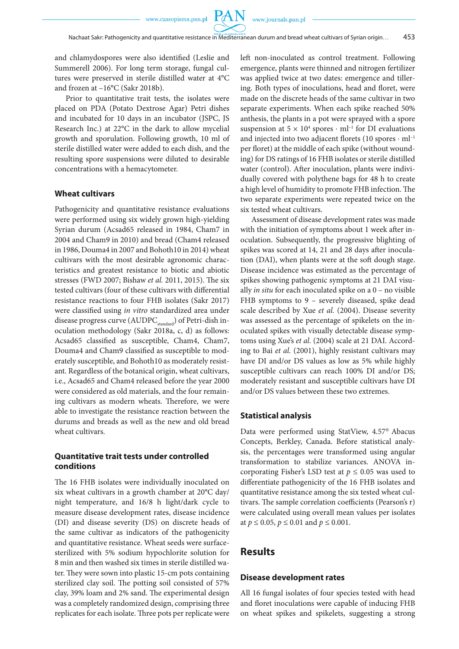**PAN** 

and chlamydospores were also identified (Leslie and Summerell 2006). For long term storage, fungal cultures were preserved in sterile distilled water at 4°C and frozen at –16°C (Sakr 2018b).

Prior to quantitative trait tests, the isolates were placed on PDA (Potato Dextrose Agar) Petri dishes and incubated for 10 days in an incubator (JSPC, JS Research Inc.) at 22°C in the dark to allow mycelial growth and sporulation. Following growth, 10 ml of sterile distilled water were added to each dish, and the resulting spore suspensions were diluted to desirable concentrations with a hemacytometer.

### **Wheat cultivars**

Pathogenicity and quantitative resistance evaluations were performed using six widely grown high-yielding Syrian durum (Acsad65 released in 1984, Cham7 in 2004 and Cham9 in 2010) and bread (Cham4 released in 1986, Douma4 in 2007 and Bohoth10 in 2014) wheat cultivars with the most desirable agronomic characteristics and greatest resistance to biotic and abiotic stresses (FWD 2007; Bishaw *et al.* 2011, 2015). The six tested cultivars (four of these cultivars with differential resistance reactions to four FHB isolates (Sakr 2017) were classified using *in vitro* standardized area under disease progress curve (AUDPC $_{standard}$ ) of Petri-dish inoculation methodology (Sakr 2018a, c, d) as follows: Acsad65 classified as susceptible, Cham4, Cham7, Douma4 and Cham9 classified as susceptible to moderately susceptible, and Bohoth10 as moderately resistant. Regardless of the botanical origin, wheat cultivars, i.e., Acsad65 and Cham4 released before the year 2000 were considered as old materials, and the four remaining cultivars as modern wheats. Therefore, we were able to investigate the resistance reaction between the durums and breads as well as the new and old bread wheat cultivars.

# **Quantitative trait tests under controlled conditions**

The 16 FHB isolates were individually inoculated on six wheat cultivars in a growth chamber at 20°C day/ night temperature, and 16/8 h light/dark cycle to measure disease development rates, disease incidence (DI) and disease severity (DS) on discrete heads of the same cultivar as indicators of the pathogenicity and quantitative resistance. Wheat seeds were surfacesterilized with 5% sodium hypochlorite solution for 8 min and then washed six times in sterile distilled water. They were sown into plastic 15-cm pots containing sterilized clay soil. The potting soil consisted of 57% clay, 39% loam and 2% sand. The experimental design was a completely randomized design, comprising three replicates for each isolate. Three pots per replicate were left non-inoculated as control treatment. Following emergence, plants were thinned and nitrogen fertilizer was applied twice at two dates: emergence and tillering. Both types of inoculations, head and floret, were made on the discrete heads of the same cultivar in two separate experiments. When each spike reached 50% anthesis, the plants in a pot were sprayed with a spore suspension at  $5 \times 10^4$  spores  $\cdot$  ml<sup>-1</sup> for DI evaluations and injected into two adjacent florets (10 spores ⋅ ml–1 per floret) at the middle of each spike (without wounding) for DS ratings of 16 FHB isolates or sterile distilled water (control). After inoculation, plants were individually covered with polythene bags for 48 h to create a high level of humidity to promote FHB infection. The two separate experiments were repeated twice on the six tested wheat cultivars.

Assessment of disease development rates was made with the initiation of symptoms about 1 week after inoculation. Subsequently, the progressive blighting of spikes was scored at 14, 21 and 28 days after inoculation (DAI), when plants were at the soft dough stage. Disease incidence was estimated as the percentage of spikes showing pathogenic symptoms at 21 DAI visually *in situ* for each inoculated spike on a 0 – no visible FHB symptoms to 9 – severely diseased, spike dead scale described by Xue *et al.* (2004). Disease severity was assessed as the percentage of spikelets on the inoculated spikes with visually detectable disease symptoms using Xue's *et al.* (2004) scale at 21 DAI. According to Bai *et al.* (2001), highly resistant cultivars may have DI and/or DS values as low as 5% while highly susceptible cultivars can reach 100% DI and/or DS; moderately resistant and susceptible cultivars have DI and/or DS values between these two extremes.

#### **Statistical analysis**

Data were performed using StatView, 4.57® Abacus Concepts, Berkley, Canada. Before statistical analysis, the percentages were transformed using angular transformation to stabilize variances. ANOVA incorporating Fisher's LSD test at  $p \leq 0.05$  was used to differentiate pathogenicity of the 16 FHB isolates and quantitative resistance among the six tested wheat cultivars. The sample correlation coefficients (Pearson's r) were calculated using overall mean values per isolates at *p* ≤ 0.05, *p* ≤ 0.01 and *p* ≤ 0.001.

# **Results**

#### **Disease development rates**

All 16 fungal isolates of four species tested with head and floret inoculations were capable of inducing FHB on wheat spikes and spikelets, suggesting a strong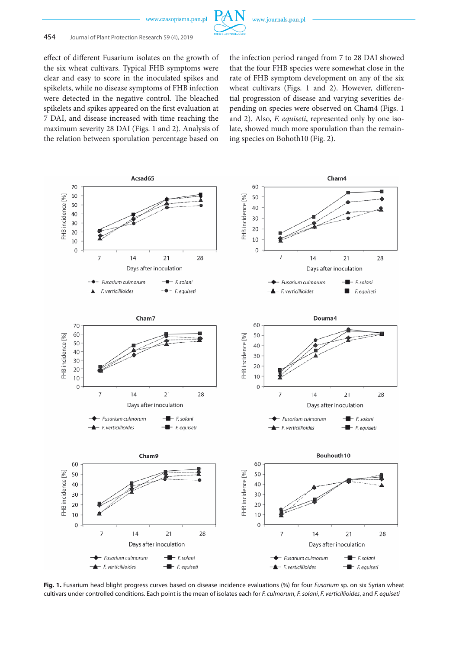

effect of different Fusarium isolates on the growth of the six wheat cultivars. Typical FHB symptoms were clear and easy to score in the inoculated spikes and spikelets, while no disease symptoms of FHB infection were detected in the negative control. The bleached spikelets and spikes appeared on the first evaluation at 7 DAI, and disease increased with time reaching the maximum severity 28 DAI (Figs. 1 and 2). Analysis of the relation between sporulation percentage based on

the infection period ranged from 7 to 28 DAI showed that the four FHB species were somewhat close in the rate of FHB symptom development on any of the six wheat cultivars (Figs. 1 and 2). However, differential progression of disease and varying severities depending on species were observed on Cham4 (Figs. 1 and 2). Also, *F. equiseti*, represented only by one isolate, showed much more sporulation than the remaining species on Bohoth10 (Fig. 2).



**Fig. 1.** Fusarium head blight progress curves based on disease incidence evaluations (%) for four *Fusarium* sp. on six Syrian wheat cultivars under controlled conditions. Each point is the mean of isolates each for *F. culmorum*, *F. solani*, *F. verticillioides*, and *F. equiseti*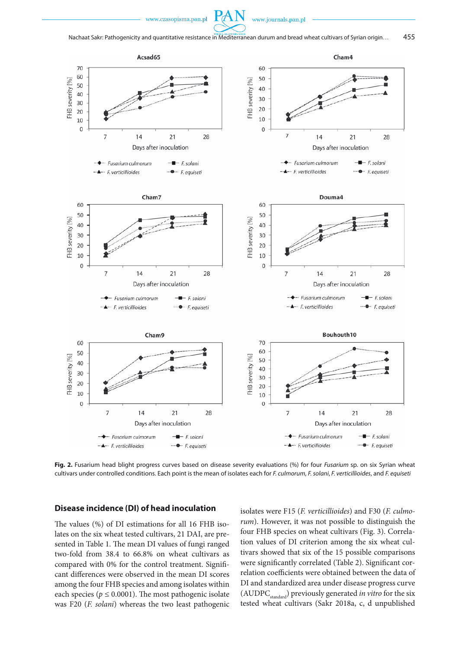



**Fig. 2.** Fusarium head blight progress curves based on disease severity evaluations (%) for four *Fusarium* sp. on six Syrian wheat cultivars under controlled conditions. Each point is the mean of isolates each for *F. culmorum*, *F. solani*, *F. verticillioides*, and *F. equiseti*

### **Disease incidence (DI) of head inoculation**

The values (%) of DI estimations for all 16 FHB isolates on the six wheat tested cultivars, 21 DAI, are presented in Table 1. The mean DI values of fungi ranged two-fold from 38.4 to 66.8% on wheat cultivars as compared with 0% for the control treatment. Significant differences were observed in the mean DI scores among the four FHB species and among isolates within each species ( $p \le 0.0001$ ). The most pathogenic isolate was F20 (*F. solani*) whereas the two least pathogenic isolates were F15 (*F. verticillioides*) and F30 (*F. culmorum*). However, it was not possible to distinguish the four FHB species on wheat cultivars (Fig. 3). Correlation values of DI criterion among the six wheat cultivars showed that six of the 15 possible comparisons were significantly correlated (Table 2). Significant correlation coefficients were obtained between the data of DI and standardized area under disease progress curve (AUDPC<sub>standard</sub>) previously generated *in vitro* for the six tested wheat cultivars (Sakr 2018a, c, d unpublished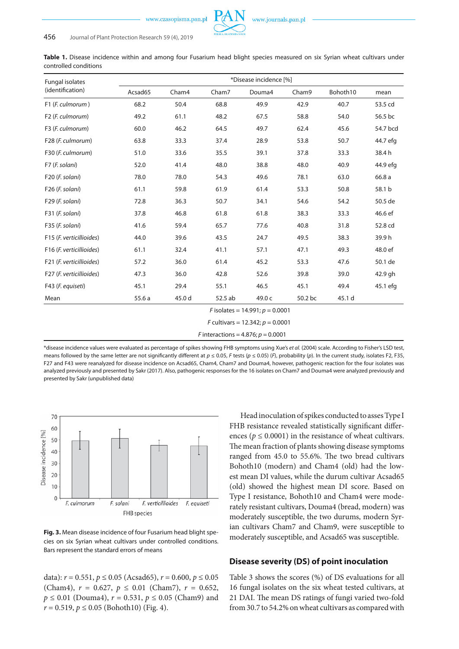www.journals.pan.pl

Table 1. Disease incidence within and among four Fusarium head blight species measured on six Syrian wheat cultivars under controlled conditions

| <b>Fungal isolates</b>       | *Disease incidence [%]            |                                    |                                             |        |         |          |          |  |
|------------------------------|-----------------------------------|------------------------------------|---------------------------------------------|--------|---------|----------|----------|--|
| (identification)             | Acsad65                           | Cham4                              | Cham7                                       | Douma4 | Cham9   | Bohoth10 | mean     |  |
| F1 (F. culmorum)             | 68.2                              | 50.4                               | 68.8                                        | 49.9   | 42.9    | 40.7     | 53.5 cd  |  |
| F <sub>2</sub> (F. culmorum) | 49.2                              | 61.1                               | 48.2                                        | 67.5   | 58.8    | 54.0     | 56.5 bc  |  |
| F3 (F. culmorum)             | 60.0                              | 46.2                               | 64.5                                        | 49.7   | 62.4    | 45.6     | 54.7 bcd |  |
| F28 (F. culmorum)            | 63.8                              | 33.3                               | 37.4                                        | 28.9   | 53.8    | 50.7     | 44.7 efg |  |
| F30 (F. culmorum)            | 51.0                              | 33.6                               | 35.5                                        | 39.1   | 37.8    | 33.3     | 38.4 h   |  |
| F7 (F. solani)               | 52.0                              | 41.4                               | 48.0                                        | 38.8   | 48.0    | 40.9     | 44.9 efg |  |
| F20 (F. solani)              | 78.0                              | 78.0                               | 54.3                                        | 49.6   | 78.1    | 63.0     | 66.8 a   |  |
| F26 (F. solani)              | 61.1                              | 59.8                               | 61.9                                        | 61.4   | 53.3    | 50.8     | 58.1 b   |  |
| F29 (F. solani)              | 72.8                              | 36.3                               | 50.7                                        | 34.1   | 54.6    | 54.2     | 50.5 de  |  |
| F31 (F. solani)              | 37.8                              | 46.8                               | 61.8                                        | 61.8   | 38.3    | 33.3     | 46.6 ef  |  |
| F35 (F. solani)              | 41.6                              | 59.4                               | 65.7                                        | 77.6   | 40.8    | 31.8     | 52.8 cd  |  |
| F15 (F. verticillioides)     | 44.0                              | 39.6                               | 43.5                                        | 24.7   | 49.5    | 38.3     | 39.9h    |  |
| F16 (F. verticillioides)     | 61.1                              | 32.4                               | 41.1                                        | 57.1   | 47.1    | 49.3     | 48.0 ef  |  |
| F21 (F. verticillioides)     | 57.2                              | 36.0                               | 61.4                                        | 45.2   | 53.3    | 47.6     | 50.1 de  |  |
| F27 (F. verticillioides)     | 47.3                              | 36.0                               | 42.8                                        | 52.6   | 39.8    | 39.0     | 42.9 gh  |  |
| F43 (F. equiseti)            | 45.1                              | 29.4                               | 55.1                                        | 46.5   | 45.1    | 49.4     | 45.1 efg |  |
| Mean                         | 55.6a                             | 45.0 d                             | 52.5 ab                                     | 49.0 c | 50.2 bc | 45.1 d   |          |  |
|                              | F isolates = 14.991; $p = 0.0001$ |                                    |                                             |        |         |          |          |  |
|                              |                                   | F cultivars = 12.342; $p = 0.0001$ |                                             |        |         |          |          |  |
|                              |                                   |                                    | <i>F</i> interactions = 4.876; $p = 0.0001$ |        |         |          |          |  |

\*disease incidence values were evaluated as percentage of spikes showing FHB symptoms using Xue's *et al.* (2004) scale. According to Fisher's LSD test, means followed by the same letter are not significantly different at *p* ≤ 0.05, *F* tests (*p* ≤ 0.05) (*F*), probability (*p*). In the current study, isolates F2, F35, F27 and F43 were reanalyzed for disease incidence on Acsad65, Cham4, Cham7 and Douma4, however, pathogenic reaction for the four isolates was analyzed previously and presented by Sakr (2017). Also, pathogenic responses for the 16 isolates on Cham7 and Douma4 were analyzed previously and presented by Sakr (unpublished data)



**Fig. 3.** Mean disease incidence of four Fusarium head blight species on six Syrian wheat cultivars under controlled conditions. Bars represent the standard errors of means

data):  $r = 0.551$ ,  $p \le 0.05$  (Acsad65),  $r = 0.600$ ,  $p \le 0.05$ (Cham4),  $r = 0.627$ ,  $p \le 0.01$  (Cham7),  $r = 0.652$ ,  $p \le 0.01$  (Douma4),  $r = 0.531$ ,  $p \le 0.05$  (Cham9) and  $r = 0.519$ ,  $p \le 0.05$  (Bohoth10) (Fig. 4).

Head inoculation of spikes conducted to asses Type I FHB resistance revealed statistically significant differences ( $p \le 0.0001$ ) in the resistance of wheat cultivars. The mean fraction of plants showing disease symptoms ranged from 45.0 to 55.6%. The two bread cultivars Bohoth10 (modern) and Cham4 (old) had the lowest mean DI values, while the durum cultivar Acsad65 (old) showed the highest mean DI score. Based on Type I resistance, Bohoth10 and Cham4 were moderately resistant cultivars, Douma4 (bread, modern) was moderately susceptible, the two durums, modern Syrian cultivars Cham7 and Cham9, were susceptible to moderately susceptible, and Acsad65 was susceptible.

### **Disease severity (DS) of point inoculation**

Table 3 shows the scores (%) of DS evaluations for all 16 fungal isolates on the six wheat tested cultivars, at 21 DAI. The mean DS ratings of fungi varied two-fold from 30.7 to 54.2% on wheat cultivars as compared with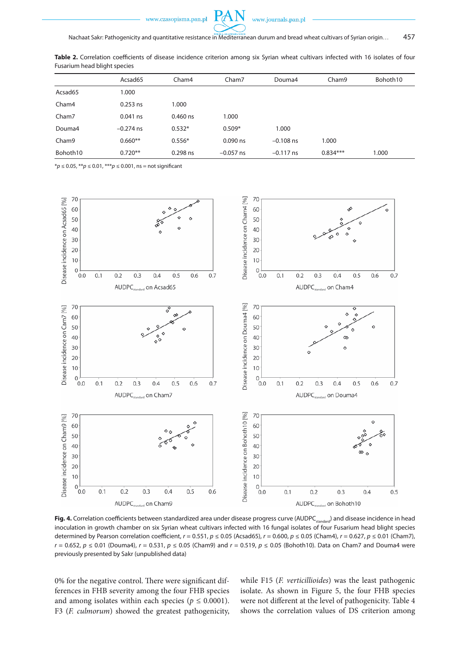

Table 2. Correlation coefficients of disease incidence criterion among six Syrian wheat cultivars infected with 16 isolates of four

|                   | Acsad65     | Cham4      | Cham7       | Douma4      | Cham9      | Bohoth10 |
|-------------------|-------------|------------|-------------|-------------|------------|----------|
| Acsad65           | 1.000       |            |             |             |            |          |
| Cham4             | $0.253$ ns  | 1.000      |             |             |            |          |
| Cham7             | $0.041$ ns  | $0.460$ ns | 1.000       |             |            |          |
| Douma4            | $-0.274$ ns | $0.532*$   | $0.509*$    | 1.000       |            |          |
| Cham <sub>9</sub> | $0.660**$   | $0.556*$   | $0.090$ ns  | $-0.108$ ns | 1.000      |          |
| Bohoth10          | $0.720**$   | 0.298 ns   | $-0.057$ ns | $-0.117$ ns | $0.834***$ | 1.000    |

\**p* ≤ 0.05, \*\**p* ≤ 0.01, \*\*\**p* ≤ 0.001, ns = not significant

Fusarium head blight species



Fig. 4. Correlation coefficients between standardized area under disease progress curve (AUDPC<sub>standard</sub>) and disease incidence in head inoculation in growth chamber on six Syrian wheat cultivars infected with 16 fungal isolates of four Fusarium head blight species determined by Pearson correlation coefficient, *r* = 0.551, *p* ≤ 0.05 (Acsad65), *r* = 0.600, *p* ≤ 0.05 (Cham4), *r* = 0.627, *p* ≤ 0.01 (Cham7), *r* = 0.652, *p* ≤ 0.01 (Douma4), *r* = 0.531, *p* ≤ 0.05 (Cham9) and *r* = 0.519, *p* ≤ 0.05 (Bohoth10). Data on Cham7 and Douma4 were previously presented by Sakr (unpublished data)

0% for the negative control. There were significant differences in FHB severity among the four FHB species and among isolates within each species ( $p \leq 0.0001$ ). F3 (*F. culmorum*) showed the greatest pathogenicity, while F15 (*F. verticillioides*) was the least pathogenic isolate. As shown in Figure 5, the four FHB species were not different at the level of pathogenicity. Table 4 shows the correlation values of DS criterion among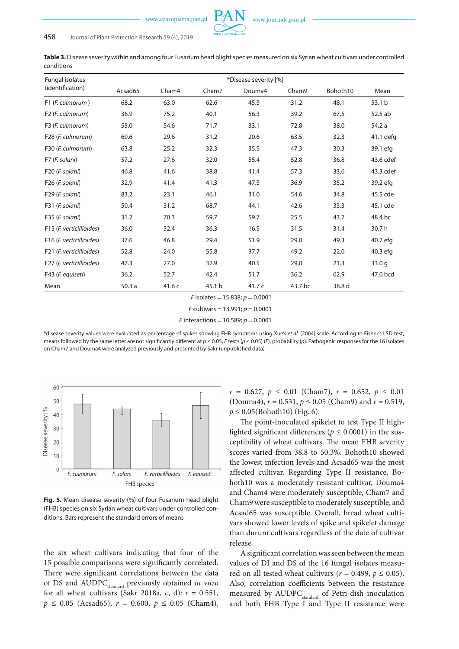| Fungal isolates                       | *Disease severity [%] |        |                                              |        |         |          |                   |  |
|---------------------------------------|-----------------------|--------|----------------------------------------------|--------|---------|----------|-------------------|--|
| (identification)                      | Acsad65               | Cham4  | Cham7                                        | Douma4 | Cham9   | Bohoth10 | Mean              |  |
| F1 (F. culmorum)                      | 68.2                  | 63.0   | 62.6                                         | 45.3   | 31.2    | 48.1     | 53.1 b            |  |
| F <sub>2</sub> ( <i>F. culmorum</i> ) | 36.9                  | 75.2   | 40.1                                         | 56.3   | 39.2    | 67.5     | 52.5 ab           |  |
| F3 (F. culmorum)                      | 55.0                  | 54.6   | 71.7                                         | 33.1   | 72.8    | 38.0     | 54.2 a            |  |
| F28 (F. culmorum)                     | 69.6                  | 29.6   | 31.2                                         | 20.6   | 63.5    | 32.3     | 41.1 defg         |  |
| F30 (F. culmorum)                     | 63.8                  | 25.2   | 32.3                                         | 35.5   | 47.3    | 30.3     | 39.1 efg          |  |
| F7 (F. solani)                        | 57.2                  | 27.6   | 32.0                                         | 55.4   | 52.8    | 36.8     | 43.6 cdef         |  |
| F20 (F. solani)                       | 46.8                  | 41.6   | 38.8                                         | 41.4   | 57.3    | 33.6     | 43.3 cdef         |  |
| F26 (F. solani)                       | 32.9                  | 41.4   | 41.3                                         | 47.3   | 36.9    | 35.2     | 39.2 efg          |  |
| F29 (F. solani)                       | 83.2                  | 23.1   | 46.1                                         | 31.0   | 54.6    | 34.8     | 45.5 cde          |  |
| F31 (F. solani)                       | 50.4                  | 31.2   | 68.7                                         | 44.1   | 42.6    | 33.3     | 45.1 cde          |  |
| F35 (F. solani)                       | 31.2                  | 70.3   | 59.7                                         | 59.7   | 25.5    | 43.7     | 48.4 bc           |  |
| F15 (F. verticillioides)              | 36.0                  | 32.4   | 36.3                                         | 16.5   | 31.5    | 31.4     | 30.7h             |  |
| F16 (F. verticillioides)              | 37.6                  | 46.8   | 29.4                                         | 51.9   | 29.0    | 49.3     | 40.7 efg          |  |
| F21 (F. verticillioides)              | 52.8                  | 24.0   | 55.8                                         | 37.7   | 49.2    | 22.0     | 40.3 efg          |  |
| F27 (F. verticillioides)              | 47.3                  | 27.0   | 32.9                                         | 40.5   | 29.0    | 21.3     | 33.0 <sub>q</sub> |  |
| F43 (F. equiseti)                     | 36.2                  | 52.7   | 42.4                                         | 51.7   | 36.2    | 62.9     | 47.0 bcd          |  |
| Mean                                  | 50.3a                 | 41.6 c | 45.1 b                                       | 41.7 c | 43.7 bc | 38.8 d   |                   |  |
| F isolates = 15.838; $p = 0.0001$     |                       |        |                                              |        |         |          |                   |  |
|                                       |                       |        | F cultivars = $13.991; p = 0.0001$           |        |         |          |                   |  |
|                                       |                       |        | <i>F</i> interactions = 10.589; $p = 0.0001$ |        |         |          |                   |  |

**Table 3.** Disease severity within and among four Fusarium head blight species measured on six Syrian wheat cultivars under controlled conditions

\*disease severity values were evaluated as percentage of spikes showing FHB symptoms using Xue's *et al.* (2004) scale. According to Fisher's LSD test, means followed by the same letter are not significantly different at *p* ≤ 0.05, *F* tests (*p* ≤ 0.05) (*F*), probability (*p*). Pathogenic responses for the 16 isolates on Cham7 and Douma4 were analyzed previously and presented by Sakr (unpublished data)



**Fig. 5.** Mean disease severity (%) of four Fusarium head blight (FHB) species on six Syrian wheat cultivars under controlled conditions. Bars represent the standard errors of means

the six wheat cultivars indicating that four of the 15 possible comparisons were significantly correlated. There were significant correlations between the data of DS and AUDPC<sub>standard</sub> previously obtained *in vitro* for all wheat cultivars (Sakr 2018a, c, d): *r* = 0.551,  $p \le 0.05$  (Acsad65),  $r = 0.600, p \le 0.05$  (Cham4),

 $r = 0.627, p \le 0.01$  (Cham7),  $r = 0.652, p \le 0.01$ (Douma4), *r* = 0.531, *p* ≤ 0.05 (Cham9) and *r* = 0.519,  $p \le 0.05$ (Bohoth10) (Fig. 6).

The point-inoculated spikelet to test Type II highlighted significant differences ( $p \leq 0.0001$ ) in the susceptibility of wheat cultivars. The mean FHB severity scores varied from 38.8 to 50.3%. Bohoth10 showed the lowest infection levels and Acsad65 was the most affected cultivar. Regarding Type II resistance, Bohoth10 was a moderately resistant cultivar, Douma4 and Cham4 were moderately susceptible, Cham7 and Cham9 were susceptible to moderately susceptible, and Acsad65 was susceptible. Overall, bread wheat cultivars showed lower levels of spike and spikelet damage than durum cultivars regardless of the date of cultivar release.

A significant correlation was seen between the mean values of DI and DS of the 16 fungal isolates measured on all tested wheat cultivars ( $r = 0.499$ ,  $p \le 0.05$ ). Also, correlation coefficients between the resistance measured by AUDPC<sub>standard</sub> of Petri-dish inoculation and both FHB Type I and Type II resistance were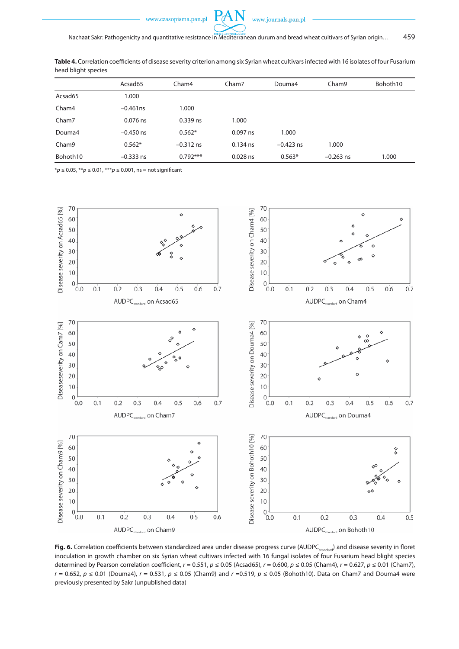

**Table 4.** Correlation coefficients of disease severity criterion among six Syrian wheat cultivars infected with 16 isolates of four Fusarium head blight species

|          | Acsad65     | Cham4       | Cham7      | Douma4      | Cham9       | Bohoth10 |
|----------|-------------|-------------|------------|-------------|-------------|----------|
| Acsad65  | 1.000       |             |            |             |             |          |
| Cham4    | $-0.461$ ns | 1.000       |            |             |             |          |
| Cham7    | 0.076 ns    | 0.339 ns    | 1.000      |             |             |          |
| Douma4   | $-0.450$ ns | $0.562*$    | 0.097 ns   | 1.000       |             |          |
| Cham9    | $0.562*$    | $-0.312$ ns | $0.134$ ns | $-0.423$ ns | 1.000       |          |
| Bohoth10 | $-0.333$ ns | $0.792***$  | $0.028$ ns | $0.563*$    | $-0.263$ ns | 1.000    |

\**p* ≤ 0.05, \*\**p* ≤ 0.01, \*\*\**p* ≤ 0.001, ns = not significant



Fig. 6. Correlation coefficients between standardized area under disease progress curve (AUDPC<sub>standard</sub>) and disease severity in floret inoculation in growth chamber on six Syrian wheat cultivars infected with 16 fungal isolates of four Fusarium head blight species determined by Pearson correlation coefficient, *r* = 0.551, *p* ≤ 0.05 (Acsad65), *r* = 0.600, *p* ≤ 0.05 (Cham4), *r* = 0.627, *p* ≤ 0.01 (Cham7), *r* = 0.652, *p* ≤ 0.01 (Douma4), *r* = 0.531, *p* ≤ 0.05 (Cham9) and *r* =0.519, *p* ≤ 0.05 (Bohoth10). Data on Cham7 and Douma4 were previously presented by Sakr (unpublished data)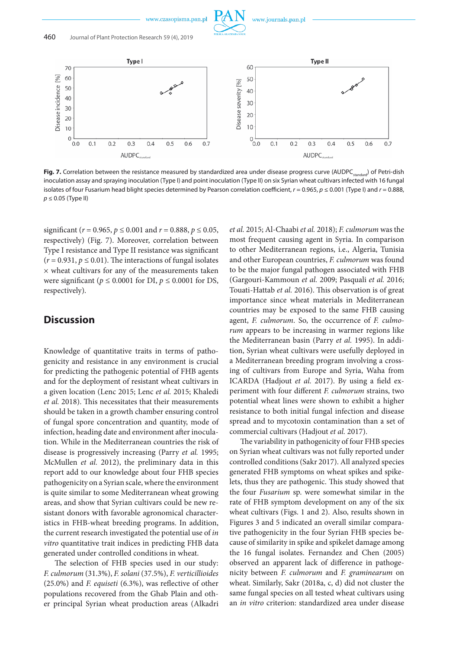



Fig. 7. Correlation between the resistance measured by standardized area under disease progress curve (AUDPC<sub>standard</sub>) of Petri-dish inoculation assay and spraying inoculation (Type I) and point inoculation (Type II) on six Syrian wheat cultivars infected with 16 fungal isolates of four Fusarium head blight species determined by Pearson correlation coefficient, *r* = 0.965, *p* ≤ 0.001 (Type I) and *r* = 0.888, *p* ≤ 0.05 (Type II)

significant (*r* = 0.965, *p* ≤ 0.001 and *r* = 0.888, *p* ≤ 0.05, respectively) (Fig. 7). Moreover, correlation between Type I resistance and Type II resistance was significant  $(r = 0.931, p \le 0.01)$ . The interactions of fungal isolates  $\times$  wheat cultivars for any of the measurements taken were significant ( $p \le 0.0001$  for DI,  $p \le 0.0001$  for DS, respectively).

# **Discussion**

Knowledge of quantitative traits in terms of pathogenicity and resistance in any environment is crucial for predicting the pathogenic potential of FHB agents and for the deployment of resistant wheat cultivars in a given location (Lenc 2015; Lenc *et al.* 2015; Khaledi *et al.* 2018). This necessitates that their measurements should be taken in a growth chamber ensuring control of fungal spore concentration and quantity, mode of infection, heading date and environment after inoculation. While in the Mediterranean countries the risk of disease is progressively increasing (Parry *et al.* 1995; McMullen *et al.* 2012), the preliminary data in this report add to our knowledge about four FHB species pathogenicity on a Syrian scale, where the environment is quite similar to some Mediterranean wheat growing areas, and show that Syrian cultivars could be new resistant donors with favorable agronomical characteristics in FHB-wheat breeding programs. In addition, the current research investigated the potential use of *in vitro* quantitative trait indices in predicting FHB data generated under controlled conditions in wheat.

The selection of FHB species used in our study: *F. culmorum* (31.3%), *F. solani* (37.5%), *F. verticillioides* (25.0%) and *F. equiseti* (6.3%), was reflective of other populations recovered from the Ghab Plain and other principal Syrian wheat production areas (Alkadri *et al.* 2015; Al-Chaabi *et al.* 2018); *F. culmorum* was the most frequent causing agent in Syria. In comparison to other Mediterranean regions, i.e., Algeria, Tunisia and other European countries, *F. culmorum* was found to be the major fungal pathogen associated with FHB (Gargouri-Kammoun *et al.* 2009; Pasquali *et al.* 2016; Touati-Hattab *et al.* 2016). This observation is of great importance since wheat materials in Mediterranean countries may be exposed to the same FHB causing agent, *F. culmorum*. So, the occurrence of *F. culmorum* appears to be increasing in warmer regions like the Mediterranean basin (Parry *et al.* 1995). In addition, Syrian wheat cultivars were usefully deployed in a Mediterranean breeding program involving a crossing of cultivars from Europe and Syria, Waha from ICARDA (Hadjout *et al.* 2017). By using a field experiment with four different *F. culmorum* strains, two potential wheat lines were shown to exhibit a higher resistance to both initial fungal infection and disease spread and to mycotoxin contamination than a set of commercial cultivars (Hadjout *et al.* 2017).

The variability in pathogenicity of four FHB species on Syrian wheat cultivars was not fully reported under controlled conditions (Sakr 2017). All analyzed species generated FHB symptoms on wheat spikes and spikelets, thus they are pathogenic. This study showed that the four *Fusarium* sp. were somewhat similar in the rate of FHB symptom development on any of the six wheat cultivars (Figs. 1 and 2). Also, results shown in Figures 3 and 5 indicated an overall similar comparative pathogenicity in the four Syrian FHB species because of similarity in spike and spikelet damage among the 16 fungal isolates. Fernandez and Chen (2005) observed an apparent lack of difference in pathogenicity between *F. culmorum* and *F. graminearum* on wheat. Similarly, Sakr (2018a, c, d) did not cluster the same fungal species on all tested wheat cultivars using an *in vitro* criterion: standardized area under disease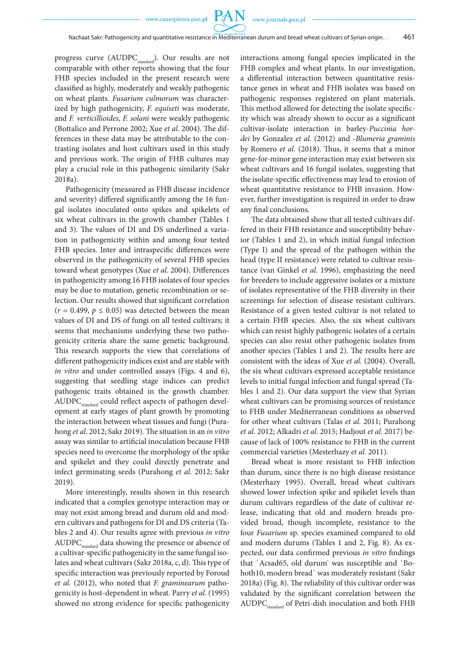PAN

progress curve (AUDPC $_{standard}$ ). Our results are not comparable with other reports showing that the four FHB species included in the present research were classified as highly, moderately and weakly pathogenic on wheat plants. *Fusarium culmorum* was characterized by high pathogenicity, *F. equiseti* was moderate, and *F. verticillioides*, *F. solani* were weakly pathogenic (Bottalico and Perrone 2002; Xue *et al.* 2004). The differences in these data may be attributable to the contrasting isolates and host cultivars used in this study and previous work. The origin of FHB cultures may play a crucial role in this pathogenic similarity (Sakr 2018a).

Pathogenicity (measured as FHB disease incidence and severity) differed significantly among the 16 fungal isolates inoculated onto spikes and spikelets of six wheat cultivars in the growth chamber (Tables 1 and 3). The values of DI and DS underlined a variation in pathogenicity within and among four tested FHB species. Inter and intraspecific differences were observed in the pathogenicity of several FHB species toward wheat genotypes (Xue *et al.* 2004). Differences in pathogenicity among 16 FHB isolates of four species may be due to mutation, genetic recombination or selection. Our results showed that significant correlation  $(r = 0.499, p \le 0.05)$  was detected between the mean values of DI and DS of fungi on all tested cultivars; it seems that mechanisms underlying these two pathogenicity criteria share the same genetic background. This research supports the view that correlations of different pathogenicity indices exist and are stable with *in vitro* and under controlled assays (Figs. 4 and 6), suggesting that seedling stage indices can predict pathogenic traits obtained in the growth chamber. AUDPC<sub>standard</sub> could reflect aspects of pathogen development at early stages of plant growth by promoting the interaction between wheat tissues and fungi (Purahong *et al.* 2012; Sakr 2019). The situation in an *in vitro* assay was similar to artificial inoculation because FHB species need to overcome the morphology of the spike and spikelet and they could directly penetrate and infect germinating seeds (Purahong *et al.* 2012; Sakr 2019).

More interestingly, results shown in this research indicated that a complex genotype interaction may or may not exist among bread and durum old and modern cultivars and pathogens for DI and DS criteria (Tables 2 and 4). Our results agree with previous *in vitro* AUDPC<sub>standard</sub> data showing the presence or absence of a cultivar-specific pathogenicity in the same fungal isolates and wheat cultivars (Sakr 2018a, c, d). This type of specific interaction was previously reported by Foroud *et al.* (2012), who noted that *F. graminearum* pathogenicity is host-dependent in wheat. Parry *et al.* (1995) showed no strong evidence for specific pathogenicity

interactions among fungal species implicated in the FHB complex and wheat plants. In our investigation, a differential interaction between quantitative resistance genes in wheat and FHB isolates was based on pathogenic responses registered on plant materials. This method allowed for detecting the isolate specificity which was already shown to occur as a significant cultivar-isolate interaction in barley-*Puccinia hordei* by Gonzalez *et al.* (2012) and -*Blumeria graminis* by Romero *et al.* (2018). Thus, it seems that a minor gene-for-minor gene interaction may exist between six wheat cultivars and 16 fungal isolates, suggesting that the isolate-specific effectiveness may lead to erosion of wheat quantitative resistance to FHB invasion. However, further investigation is required in order to draw any final conclusions.

The data obtained show that all tested cultivars differed in their FHB resistance and susceptibility behavior (Tables 1 and 2), in which initial fungal infection (Type I) and the spread of the pathogen within the head (type II resistance) were related to cultivar resistance (van Ginkel *et al.* 1996), emphasizing the need for breeders to include aggressive isolates or a mixture of isolates representative of the FHB diversity in their screenings for selection of disease resistant cultivars. Resistance of a given tested cultivar is not related to a certain FHB species. Also, the six wheat cultivars which can resist highly pathogenic isolates of a certain species can also resist other pathogenic isolates from another species (Tables 1 and 2). The results here are consistent with the ideas of Xue *et al.* (2004). Overall, the six wheat cultivars expressed acceptable resistance levels to initial fungal infection and fungal spread (Tables 1 and 2). Our data support the view that Syrian wheat cultivars can be promising sources of resistance to FHB under Mediterranean conditions as observed for other wheat cultivars (Talas *et al.* 2011; Purahong *et al.* 2012; Alkadri *et al.* 2015; Hadjout *et al.* 2017) because of lack of 100% resistance to FHB in the current commercial varieties (Mesterhazy *et al*. 2011).

Bread wheat is more resistant to FHB infection than durum, since there is no high disease resistance (Mesterhazy 1995). Overall, bread wheat cultivars showed lower infection spike and spikelet levels than durum cultivars regardless of the date of cultivar release, indicating that old and modern breads provided broad, though incomplete, resistance to the four *Fusarium* sp. species examined compared to old and modern durums (Tables 1 and 2, Fig. 8). As expected, our data confirmed previous *in vitro* findings that `Acsad65, old durum` was susceptible and `Bohoth10, modern bread` was moderately resistant (Sakr 2018a) (Fig. 8). The reliability of this cultivar order was validated by the significant correlation between the AUDPC<sub>standard</sub> of Petri-dish inoculation and both FHB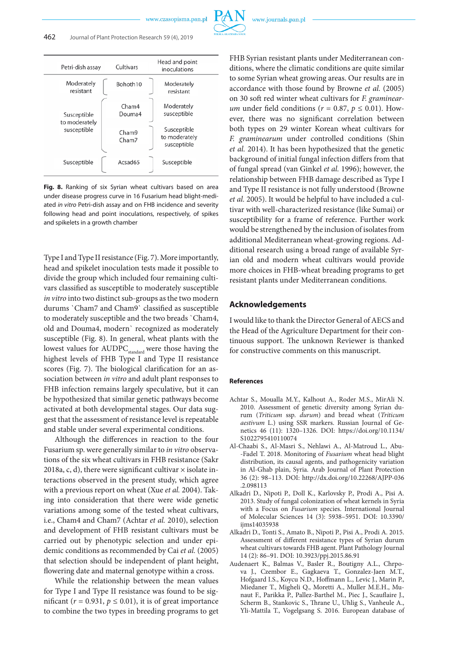| Petri-dish assay             | Cultivars       | Head and point<br>inoculations              |
|------------------------------|-----------------|---------------------------------------------|
| Moderately<br>resistant      | Bohoth10        | Moderately<br>resistant                     |
| Susceptible<br>to moderately | Cham4<br>Douma4 | Moderately<br>susceptible                   |
| susceptible                  | Cham9<br>Cham7  | Susceptible<br>to moderately<br>susceptible |
| Susceptible                  | Acsad65         | Susceptible                                 |

**Fig. 8.** Ranking of six Syrian wheat cultivars based on area under disease progress curve in 16 Fusarium head blight-mediated *in vitro* Petri-dish assay and on FHB incidence and severity following head and point inoculations, respectively, of spikes and spikelets in a growth chamber

Type I and Type II resistance (Fig. 7). More importantly, head and spikelet inoculation tests made it possible to divide the group which included four remaining cultivars classified as susceptible to moderately susceptible *in vitro* into two distinct sub-groups as the two modern durums `Cham7 and Cham9` classified as susceptible to moderately susceptible and the two breads `Cham4, old and Douma4, modern` recognized as moderately susceptible (Fig. 8). In general, wheat plants with the lowest values for AUDPC<sub>standard</sub> were those having the highest levels of FHB Type I and Type II resistance scores (Fig. 7). The biological clarification for an association between *in vitro* and adult plant responses to FHB infection remains largely speculative, but it can be hypothesized that similar genetic pathways become activated at both developmental stages. Our data suggest that the assessment of resistance level is repeatable and stable under several experimental conditions.

Although the differences in reaction to the four Fusarium sp. were generally similar to *in vitro* observations of the six wheat cultivars in FHB resistance (Sakr 2018a, c, d), there were significant cultivar  $\times$  isolate interactions observed in the present study, which agree with a previous report on wheat (Xue *et al.* 2004). Taking into consideration that there were wide genetic variations among some of the tested wheat cultivars, i.e., Cham4 and Cham7 (Achtar *et al.* 2010), selection and development of FHB resistant cultivars must be carried out by phenotypic selection and under epidemic conditions as recommended by Cai *et al.* (2005) that selection should be independent of plant height, flowering date and maternal genotype within a cross.

While the relationship between the mean values for Type I and Type II resistance was found to be significant ( $r = 0.931$ ,  $p \le 0.01$ ), it is of great importance to combine the two types in breeding programs to get FHB Syrian resistant plants under Mediterranean conditions, where the climatic conditions are quite similar to some Syrian wheat growing areas. Our results are in accordance with those found by Browne *et al.* (2005) on 30 soft red winter wheat cultivars for *F. graminearum* under field conditions ( $r = 0.87$ ,  $p \le 0.01$ ). However, there was no significant correlation between both types on 29 winter Korean wheat cultivars for *F. graminearum* under controlled conditions (Shin *et al.* 2014). It has been hypothesized that the genetic background of initial fungal infection differs from that of fungal spread (van Ginkel *et al.* 1996); however, the relationship between FHB damage described as Type I and Type II resistance is not fully understood (Browne *et al.* 2005). It would be helpful to have included a cultivar with well-characterized resistance (like Sumai) or susceptibility for a frame of reference. Further work would be strengthened by the inclusion of isolates from additional Mediterranean wheat-growing regions. Additional research using a broad range of available Syrian old and modern wheat cultivars would provide more choices in FHB-wheat breading programs to get resistant plants under Mediterranean conditions.

#### **Acknowledgements**

I would like to thank the Director General of AECS and the Head of the Agriculture Department for their continuous support. The unknown Reviewer is thanked for constructive comments on this manuscript.

#### **References**

- Achtar S., Moualla M.Y., Kalhout A., Roder M.S., MirAli N. 2010. Assessment of genetic diversity among Syrian durum (*Triticum* ssp. *durum*) and bread wheat (*Triticum aestivum* L.) using SSR markers. Russian Journal of Genetics 46 (11): 1320–1326. DOI: https://doi.org/10.1134/ S1022795410110074
- Al-Chaabi S., Al-Masri S., Nehlawi A., Al-Matroud L., Abu- -Fadel T. 2018. Monitoring of *Fusarium* wheat head blight distribution, its causal agents, and pathogenicity variation in Al-Ghab plain, Syria. Arab Journal of Plant Protection 36 (2): 98–113. DOI: http://dx.doi.org/10.22268/AJPP-036 .2.098113
- Alkadri D., Nipoti P., Doll K., Karlovsky P., Prodi A., Pisi A. 2013. Study of fungal colonization of wheat kernels in Syria with a Focus on *Fusarium* species. International Journal of Molecular Sciences 14 (3): 5938–5951. DOI: 10.3390/ ijms14035938
- Alkadri D., Tonti S., Amato B., Nipoti P., Pisi A., Prodi A. 2015. Assessment of different resistance types of Syrian durum wheat cultivars towards FHB agent. Plant Pathology Journal 14 (2): 86–91. DOI: 10.3923/ppj.2015.86.91
- Audenaert K., Balmas V., Basler R., Boutigny A.L., Chrpova J., Czembor E., Gagkaeva T., Gonzalez-Jaen M.T., Hofgaard I.S., Koycu N.D., Hoffmann L., Levic J., Marin P., Miedaner T., Migheli Q., Moretti A., Muller M.E.H., Munaut F., Parikka P., Pallez-Barthel M., Piec J., Scauflaire J., Scherm B., Stankovic S., Thrane U., Uhlig S., Vanheule A., Yli-Mattila T., Vogelgsang S. 2016. European database of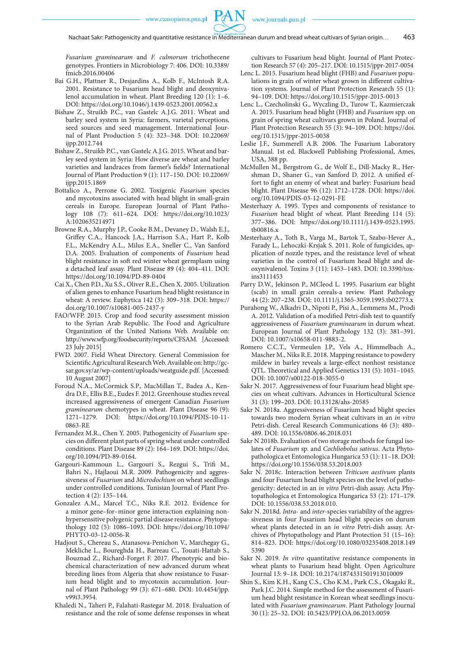*Fusarium graminearum* and *F. culmorum* trichothecene genotypes. Frontiers in Microbiology 7: 406. DOI: 10.3389/ fmicb.2016.00406

- Bai G.H., Plattner R., Desjardins A., Kolb F., McIntosh R.A. 2001. Resistance to Fusarium head blight and deoxynivalenol accumulation in wheat. Plant Breeding 120 (1): 1–6. DOI: https://doi.org/10.1046/j.1439-0523.2001.00562.x
- Bishaw Z., Struikb P.C., van Gastelc A.J.G. 2011. Wheat and barley seed system in Syria: farmers, varietal perceptions, seed sources and seed management. International Journal of Plant Production 5 (4): 323–348. DOI: 10.22069/ ijpp.2012.744
- Bishaw Z., Struikb P.C., van Gastelc A.J.G. 2015. Wheat and barley seed system in Syria: How diverse are wheat and barley varieties and landraces from farmer's fields? International Journal of Plant Production 9 (1): 117–150. DOI: 10.22069/ ijpp.2015.1869
- Bottalico A., Perrone G. 2002. Toxigenic *Fusarium* species and mycotoxins associated with head blight in small-grain cereals in Europe. European Journal of Plant Pathology 108 (7): 611–624. DOI: https://doi.org/10.1023/ A:1020635214971
- Browne R.A., Murphy J.P., Cooke B.M., Devaney D., Walsh E.J., Griffey C.A., Hancock J.A., Harrison S.A., Hart P., Kolb F.L., McKendry A.L., Milus E.A., Sneller C., Van Sanford D.A. 2005. Evaluation of components of *Fusarium* head blight resistance in soft red winter wheat germplasm using a detached leaf assay. Plant Disease 89 (4): 404–411. DOI: https://doi.org/10.1094/PD-89-0404
- Cai X., Chen P.D., Xu S.S., Oliver R.E., Chen X. 2005. Utilization of alien genes to enhance Fusarium head blight resistance in wheat: A review. Euphytica 142 (3): 309–318. DOI: https:// doi.org/10.1007/s10681-005-2437-y
- FAO/WFP. 2015. Crop and food security assessment mission to the Syrian Arab Republic. The Food and Agriculture Organization of the United Nations Web. Available on: http://www.wfp.org/foodsecurity/reports/CFSAM. [Accessed: 23 July 2015]
- FWD. 2007. Field Wheat Directory. General Commission for Scientific Agricultural Research Web. Available on: http://gcsar.gov.sy/ar/wp-content/uploads/weatguide.pdf. [Accessed: 10 August 2007]
- Foroud N.A., McCormick S.P., MacMillan T., Badea A., Kendra D.F., Ellis B.E., Eudes F. 2012. Greenhouse studies reveal increased aggressiveness of emergent Canadian *Fusarium graminearum* chemotypes in wheat. Plant Disease 96 (9): 1271–1279. DOI: https://doi.org/10.1094/PDIS-10-11- 0863-RE
- Fernandez M.R., Chen Y. 2005. Pathogenicity of *Fusarium* species on different plant parts of spring wheat under controlled conditions. Plant Disease 89 (2): 164–169. DOI: https://doi. org/10.1094/PD-89-0164.
- Gargouri-Kammoun L., Gargouri S., Rezgui S., Trifi M., Bahri N., Hajlaoui M.R. 2009. Pathogenicity and aggressiveness of *Fusarium* and *Microdochium* on wheat seedlings under controlled conditions. Tunisian Journal of Plant Protection 4 (2): 135–144.
- Gonzalez A.M., Marcel T.C., Niks R.E. 2012. Evidence for a minor gene–for–minor gene interaction explaining nonhypersensitive polygenic partial disease resistance. Phytopathology 102 (5): 1086–1093. DOI: https://doi.org/10.1094/ PHYTO-03-12-0056-R
- Hadjout S., Chereau S., Atanasova-Penichon V., Marchegay G., Mekliche L., Boureghda H., Barreau C., Touati-Hattab S., Bouznad Z., Richard-Forget F. 2017. Phenotypic and biochemical characterization of new advanced durum wheat breeding lines from Algeria that show resistance to Fusarium head blight and to mycotoxin accumulation. Journal of Plant Pathology 99 (3): 671–680. DOI: 10.4454/jpp. v99i3.3954.
- Khaledi N., Taheri P., Falahati-Rastegar M. 2018. Evaluation of resistance and the role of some defense responses in wheat

cultivars to Fusarium head blight. Journal of Plant Protection Research 57 (4): 205–217. DOI: 10.1515/jppr-2017-0054

- Lenc L. 2015. Fusarium head blight (FHB) and *Fusarium* populations in grain of winter wheat grown in different cultivation systems. Journal of Plant Protection Research 55 (1): 94–109. DOI: https://doi.org/10.1515/jppr-2015-0013
- Lenc L., Czecholinski G., Wyczling D., Turow T., Kazmierczak A. 2015. Fusarium head blight (FHB) and *Fusarium* spp. on grain of spring wheat cultivars grown in Poland. Journal of Plant Protection Research 55 (3): 94–109. DOI: https://doi. org/10.1515/jppr-2015-0038
- Leslie J.F., Summerell A.B. 2006. The Fusarium Laboratory Manual. 1st ed. Blackwell Publishing Professional, Ames, USA, 388 pp.
- McMullen M., Bergstrom G., de Wolf E., Dill-Macky R., Hershman D., Shaner G., van Sanford D. 2012. A unified effort to fight an enemy of wheat and barley: Fusarium head blight. Plant Disease 96 (12): 1712–1728. DOI: https://doi. org/10.1094/PDIS-03-12-0291-FE
- Mesterhazy A. 1995. Types and components of resistance to *Fusarium* head blight of wheat. Plant Breeding 114 (5): 377–386. DOI: https://doi.org/10.1111/j.1439-0523.1995. tb00816.x
- Mesterhazy A., Toth B., Varga M., Bartok T., Szabo-Hever A., Farady L., Lehoczki-Krsjak S. 2011. Role of fungicides, application of nozzle types, and the resistance level of wheat varieties in the control of Fusarium head blight and deoxynivalenol. Toxins 3 (11): 1453–1483. DOI: 10.3390/toxins3111453
- Parry D.W., Jekinson P., MCleod L. 1995. Fusarium ear blight (scab) in small grain cereals-a review. Plant Pathology 44 (2): 207–238. DOI: 10.1111/j.1365-3059.1995.tb02773.x
- Purahong W., Alkadri D., Nipoti P., Pisi A., Lemmens M., Prodi A. 2012. Validation of a modified Petri-dish test to quantify aggressiveness of *Fusarium graminearum* in durum wheat. European Journal of Plant Pathology 132 (3): 381–391. DOI: 10.1007/s10658-011-9883-2.
- Romero C.C.T., Vermeulen J.P., Vels A., Himmelbach A., Mascher M., Niks R.E. 2018. Mapping resistance to powdery mildew in barley reveals a large-effect nonhost resistance QTL. Theoretical and Applied Genetics 131 (5): 1031–1045. DOI: 10.1007/s00122-018-3055-0
- Sakr N. 2017. Aggressiveness of four Fusarium head blight species on wheat cultivars. Advances in Horticultural Science 31 (3): 199–203. DOI: 10.13128/ahs-20585
- Sakr N. 2018a. Aggressiveness of Fusarium head blight species towards two modern Syrian wheat cultivars in an *in vitro* Petri-dish. Cereal Research Communications 46 (3): 480– 489. DOI: 10.1556/0806.46.2018.031
- Sakr N 2018b. Evaluation of two storage methods for fungal isolates of *Fusarium* sp. and *Cochliobolus sativus*. Acta Phytopathologica et Entomologica Hungarica 53 (1): 11–18. DOI: https://doi.org/10.1556/038.53.2018.003
- Sakr N. 2018c. Interaction between *Triticum aestivum* plants and four Fusarium head blight species on the level of pathogenicity: detected in an *in vitro* Petri-dish assay. Acta Phytopathologica et Entomologica Hungarica 53 (2): 171–179. DOI: 10.1556/038.53.2018.010.
- Sakr N. 2018d. *Intra* and *inter*-species variability of the aggressiveness in four Fusarium head blight species on durum wheat plants detected in an *in vitro* Petri-dish assay. Archives of Phytopathology and Plant Protection 51 (15–16): 814–823. DOI: https://doi.org/10.1080/03235408.2018.149 5390
- Sakr N. 2019. *In vitro* quantitative resistance components in wheat plants to Fusarium head blight. Open Agriculture Journal 13: 9–18. DOI: 10.2174/1874331501913010009
- Shin S., Kim K.H., Kang C.S., Cho K.M., Park C.S., Okagaki R., Park J.C. 2014. Simple method for the assessment of Fusarium head blight resistance in Korean wheat seedlings inoculated with *Fusarium graminearum*. Plant Pathology Journal 30 (1): 25–32. DOI: 10.5423/PPJ.OA.06.2013.0059